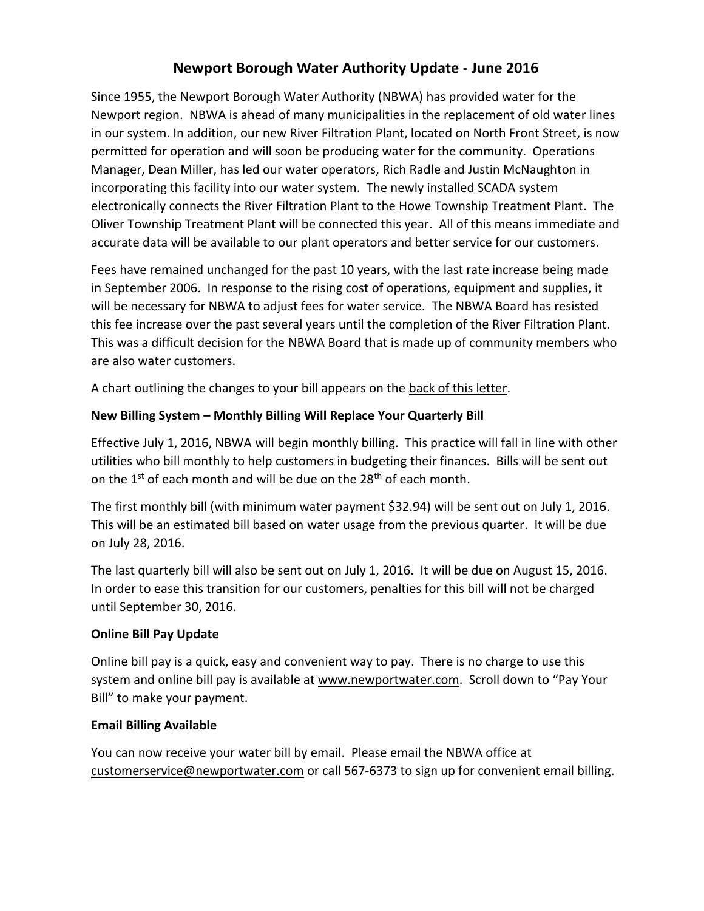# **Newport Borough Water Authority Update - June 2016**

Since 1955, the Newport Borough Water Authority (NBWA) has provided water for the Newport region. NBWA is ahead of many municipalities in the replacement of old water lines in our system. In addition, our new River Filtration Plant, located on North Front Street, is now permitted for operation and will soon be producing water for the community. Operations Manager, Dean Miller, has led our water operators, Rich Radle and Justin McNaughton in incorporating this facility into our water system. The newly installed SCADA system electronically connects the River Filtration Plant to the Howe Township Treatment Plant. The Oliver Township Treatment Plant will be connected this year. All of this means immediate and accurate data will be available to our plant operators and better service for our customers.

Fees have remained unchanged for the past 10 years, with the last rate increase being made in September 2006. In response to the rising cost of operations, equipment and supplies, it will be necessary for NBWA to adjust fees for water service. The NBWA Board has resisted this fee increase over the past several years until the completion of the River Filtration Plant. This was a difficult decision for the NBWA Board that is made up of community members who are also water customers.

A chart outlining the changes to your bill appears on the back of this letter.

## **New Billing System – Monthly Billing Will Replace Your Quarterly Bill**

Effective July 1, 2016, NBWA will begin monthly billing. This practice will fall in line with other utilities who bill monthly to help customers in budgeting their finances. Bills will be sent out on the 1<sup>st</sup> of each month and will be due on the 28<sup>th</sup> of each month.

The first monthly bill (with minimum water payment \$32.94) will be sent out on July 1, 2016. This will be an estimated bill based on water usage from the previous quarter. It will be due on July 28, 2016.

The last quarterly bill will also be sent out on July 1, 2016. It will be due on August 15, 2016. In order to ease this transition for our customers, penalties for this bill will not be charged until September 30, 2016.

### **Online Bill Pay Update**

Online bill pay is a quick, easy and convenient way to pay. There is no charge to use this system and online bill pay is available at [www.newportwater.com.](http://www.newportwater.com/) Scroll down to "Pay Your Bill" to make your payment.

### **Email Billing Available**

You can now receive your water bill by email. Please email the NBWA office at [customerservice@newportwater.com](mailto:customerservice@newportwater.com) or call 567-6373 to sign up for convenient email billing.